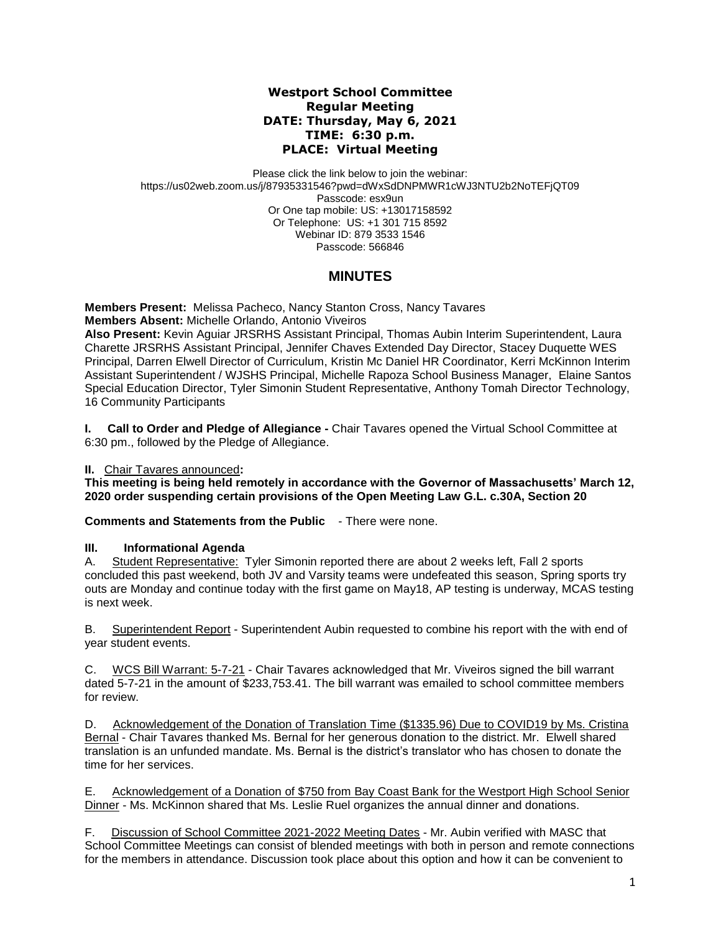## **Westport School Committee Regular Meeting DATE: Thursday, May 6, 2021 TIME: 6:30 p.m. PLACE: Virtual Meeting**

Please click the link below to join the webinar: https://us02web.zoom.us/j/87935331546?pwd=dWxSdDNPMWR1cWJ3NTU2b2NoTEFjQT09 Passcode: esx9un Or One tap mobile: US: +13017158592 Or Telephone: US: +1 301 715 8592 Webinar ID: 879 3533 1546 Passcode: 566846

# **MINUTES**

**Members Present:** Melissa Pacheco, Nancy Stanton Cross, Nancy Tavares **Members Absent:** Michelle Orlando, Antonio Viveiros

**Also Present:** Kevin Aguiar JRSRHS Assistant Principal, Thomas Aubin Interim Superintendent, Laura Charette JRSRHS Assistant Principal, Jennifer Chaves Extended Day Director, Stacey Duquette WES Principal, Darren Elwell Director of Curriculum, Kristin Mc Daniel HR Coordinator, Kerri McKinnon Interim Assistant Superintendent / WJSHS Principal, Michelle Rapoza School Business Manager, Elaine Santos Special Education Director, Tyler Simonin Student Representative, Anthony Tomah Director Technology, 16 Community Participants

**I.** Call to Order and Pledge of Allegiance - Chair Tavares opened the Virtual School Committee at 6:30 pm., followed by the Pledge of Allegiance.

# **II.** Chair Tavares announced**:**

**This meeting is being held remotely in accordance with the Governor of Massachusetts' March 12, 2020 order suspending certain provisions of the Open Meeting Law G.L. c.30A, Section 20**

**Comments and Statements from the Public** - There were none.

#### **III. Informational Agenda**

A. Student Representative: Tyler Simonin reported there are about 2 weeks left, Fall 2 sports concluded this past weekend, both JV and Varsity teams were undefeated this season, Spring sports try outs are Monday and continue today with the first game on May18, AP testing is underway, MCAS testing is next week.

B. Superintendent Report - Superintendent Aubin requested to combine his report with the with end of year student events.

C. WCS Bill Warrant: 5-7-21 - Chair Tavares acknowledged that Mr. Viveiros signed the bill warrant dated 5-7-21 in the amount of \$233,753.41. The bill warrant was emailed to school committee members for review.

D. Acknowledgement of the Donation of Translation Time (\$1335.96) Due to COVID19 by Ms. Cristina Bernal - Chair Tavares thanked Ms. Bernal for her generous donation to the district. Mr. Elwell shared translation is an unfunded mandate. Ms. Bernal is the district's translator who has chosen to donate the time for her services.

E. Acknowledgement of a Donation of \$750 from Bay Coast Bank for the Westport High School Senior Dinner - Ms. McKinnon shared that Ms. Leslie Ruel organizes the annual dinner and donations.

F. Discussion of School Committee 2021-2022 Meeting Dates - Mr. Aubin verified with MASC that School Committee Meetings can consist of blended meetings with both in person and remote connections for the members in attendance. Discussion took place about this option and how it can be convenient to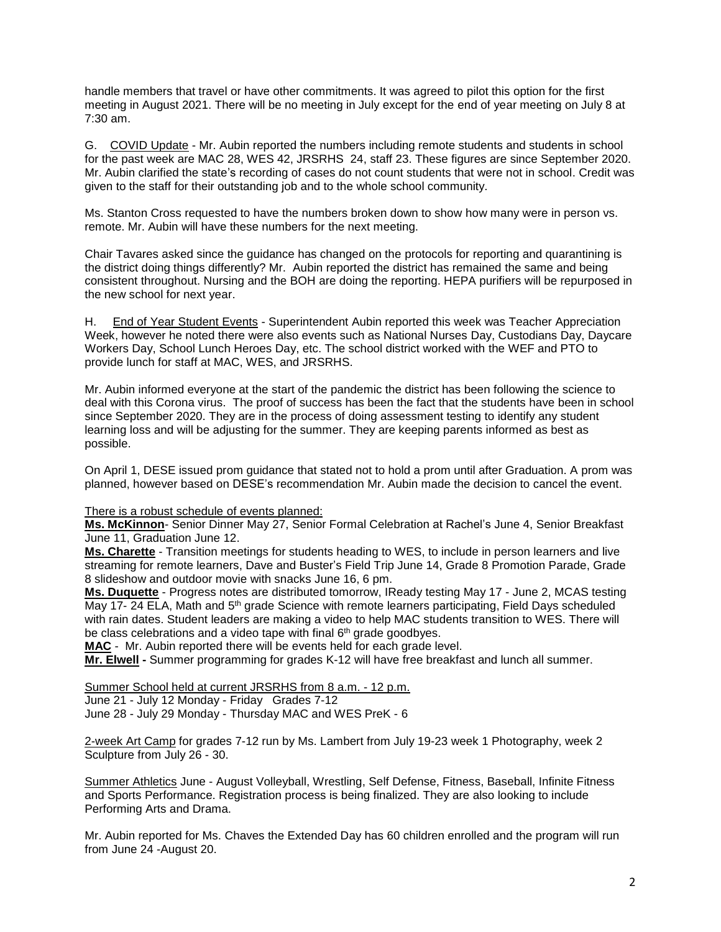handle members that travel or have other commitments. It was agreed to pilot this option for the first meeting in August 2021. There will be no meeting in July except for the end of year meeting on July 8 at 7:30 am.

G. COVID Update - Mr. Aubin reported the numbers including remote students and students in school for the past week are MAC 28, WES 42, JRSRHS 24, staff 23. These figures are since September 2020. Mr. Aubin clarified the state's recording of cases do not count students that were not in school. Credit was given to the staff for their outstanding job and to the whole school community.

Ms. Stanton Cross requested to have the numbers broken down to show how many were in person vs. remote. Mr. Aubin will have these numbers for the next meeting.

Chair Tavares asked since the guidance has changed on the protocols for reporting and quarantining is the district doing things differently? Mr. Aubin reported the district has remained the same and being consistent throughout. Nursing and the BOH are doing the reporting. HEPA purifiers will be repurposed in the new school for next year.

H. End of Year Student Events - Superintendent Aubin reported this week was Teacher Appreciation Week, however he noted there were also events such as National Nurses Day, Custodians Day, Daycare Workers Day, School Lunch Heroes Day, etc. The school district worked with the WEF and PTO to provide lunch for staff at MAC, WES, and JRSRHS.

Mr. Aubin informed everyone at the start of the pandemic the district has been following the science to deal with this Corona virus. The proof of success has been the fact that the students have been in school since September 2020. They are in the process of doing assessment testing to identify any student learning loss and will be adjusting for the summer. They are keeping parents informed as best as possible.

On April 1, DESE issued prom guidance that stated not to hold a prom until after Graduation. A prom was planned, however based on DESE's recommendation Mr. Aubin made the decision to cancel the event.

There is a robust schedule of events planned:

**Ms. McKinnon**- Senior Dinner May 27, Senior Formal Celebration at Rachel's June 4, Senior Breakfast June 11, Graduation June 12.

**Ms. Charette** - Transition meetings for students heading to WES, to include in person learners and live streaming for remote learners, Dave and Buster's Field Trip June 14, Grade 8 Promotion Parade, Grade 8 slideshow and outdoor movie with snacks June 16, 6 pm.

**Ms. Duquette** - Progress notes are distributed tomorrow, IReady testing May 17 - June 2, MCAS testing May 17- 24 ELA, Math and 5<sup>th</sup> grade Science with remote learners participating, Field Days scheduled with rain dates. Student leaders are making a video to help MAC students transition to WES. There will be class celebrations and a video tape with final 6<sup>th</sup> grade goodbyes.

**MAC** - Mr. Aubin reported there will be events held for each grade level.

**Mr. Elwell -** Summer programming for grades K-12 will have free breakfast and lunch all summer.

Summer School held at current JRSRHS from 8 a.m. - 12 p.m. June 21 - July 12 Monday - Friday Grades 7-12 June 28 - July 29 Monday - Thursday MAC and WES PreK - 6

2-week Art Camp for grades 7-12 run by Ms. Lambert from July 19-23 week 1 Photography, week 2 Sculpture from July 26 - 30.

Summer Athletics June - August Volleyball, Wrestling, Self Defense, Fitness, Baseball, Infinite Fitness and Sports Performance. Registration process is being finalized. They are also looking to include Performing Arts and Drama.

Mr. Aubin reported for Ms. Chaves the Extended Day has 60 children enrolled and the program will run from June 24 -August 20.